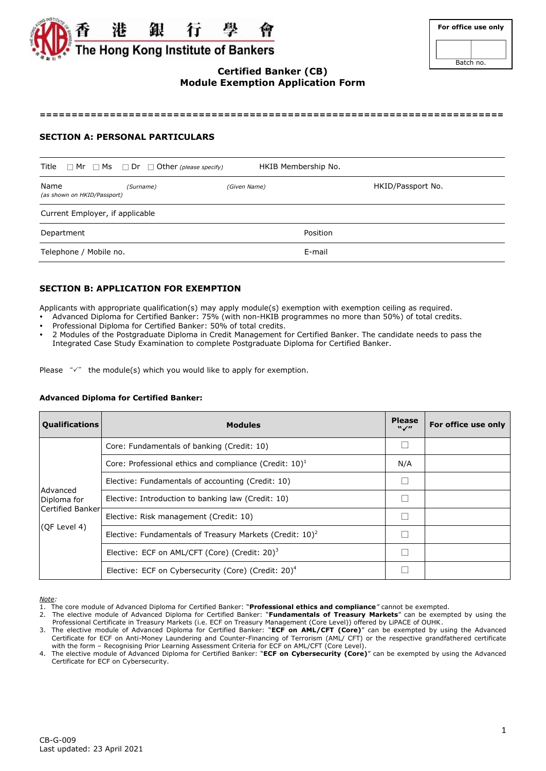

| For office use only |
|---------------------|
|                     |
| Batch no.           |

# **Certified Banker (CB) Module Exemption Application Form**

**=========================================================================**

### **SECTION A: PERSONAL PARTICULARS**

| Title                               | $\Box$ Mr $\Box$ Ms $\Box$ Dr $\Box$ Other (please specify) | HKIB Membership No. |                   |
|-------------------------------------|-------------------------------------------------------------|---------------------|-------------------|
| Name<br>(as shown on HKID/Passport) | (Surname)                                                   | (Given Name)        | HKID/Passport No. |
| Current Employer, if applicable     |                                                             |                     |                   |
| Department                          |                                                             |                     | Position          |
| Telephone / Mobile no.              |                                                             | E-mail              |                   |

## **SECTION B: APPLICATION FOR EXEMPTION**

Applicants with appropriate qualification(s) may apply module(s) exemption with exemption ceiling as required.

- Advanced Diploma for Certified Banker: 75% (with non-HKIB programmes no more than 50%) of total credits.
- Professional Diploma for Certified Banker: 50% of total credits.
- 2 Modules of the Postgraduate Diploma in Credit Management for Certified Banker. The candidate needs to pass the Integrated Case Study Examination to complete Postgraduate Diploma for Certified Banker.

|  |  | Please $\sqrt{x}$ the module(s) which you would like to apply for exemption. |  |  |  |  |  |
|--|--|------------------------------------------------------------------------------|--|--|--|--|--|
|--|--|------------------------------------------------------------------------------|--|--|--|--|--|

#### **Advanced Diploma for Certified Banker:**

| <b>Qualifications</b>                                       | <b>Modules</b>                                                        | <b>Please</b><br>$\mathbf{W}$ | For office use only |
|-------------------------------------------------------------|-----------------------------------------------------------------------|-------------------------------|---------------------|
|                                                             | Core: Fundamentals of banking (Credit: 10)                            |                               |                     |
|                                                             | Core: Professional ethics and compliance (Credit: $10$ ) <sup>1</sup> | N/A                           |                     |
|                                                             | Elective: Fundamentals of accounting (Credit: 10)                     | $\Box$                        |                     |
| Advanced<br>Diploma for<br>Certified Banker<br>(OF Level 4) | Elective: Introduction to banking law (Credit: 10)                    | $\Box$                        |                     |
|                                                             | Elective: Risk management (Credit: 10)                                | $\Box$                        |                     |
|                                                             | Elective: Fundamentals of Treasury Markets (Credit: $10^2$ )          |                               |                     |
|                                                             | Elective: ECF on AML/CFT (Core) (Credit: 20) <sup>3</sup>             |                               |                     |
|                                                             | Elective: ECF on Cybersecurity (Core) (Credit: 20) <sup>4</sup>       |                               |                     |

*Note:* 

1. The core module of Advanced Diploma for Certified Banker: "**Professional ethics and compliance***"* cannot be exempted.

<sup>2.</sup> The elective module of Advanced Diploma for Certified Banker: "**Fundamentals of Treasury Markets**" can be exempted by using the Professional Certificate in Treasury Markets (i.e. ECF on Treasury Management (Core Level)) offered by LiPACE of OUHK.

<sup>3.</sup> The elective module of Advanced Diploma for Certified Banker: "**ECF on AML/CFT (Core)**" can be exempted by using the Advanced Certificate for ECF on Anti-Money Laundering and Counter-Financing of Terrorism (AML/ CFT) or the respective grandfathered certificate with the form – Recognising Prior Learning Assessment Criteria for ECF on AML/CFT (Core Level).

<sup>4.</sup> The elective module of Advanced Diploma for Certified Banker: "**ECF on Cybersecurity (Core)**" can be exempted by using the Advanced Certificate for ECF on Cybersecurity.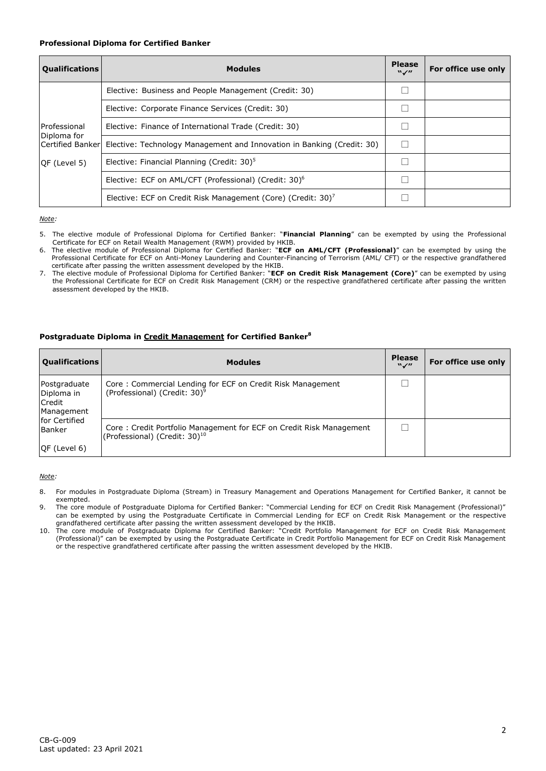#### **Professional Diploma for Certified Banker**

| <b>Qualifications</b>            | <b>Modules</b>                                                           | <b>Please</b><br>$W \swarrow H$ | For office use only |
|----------------------------------|--------------------------------------------------------------------------|---------------------------------|---------------------|
|                                  | Elective: Business and People Management (Credit: 30)                    |                                 |                     |
|                                  | Elective: Corporate Finance Services (Credit: 30)                        |                                 |                     |
| Professional                     | Elective: Finance of International Trade (Credit: 30)                    |                                 |                     |
| Diploma for<br>Certified Bankerl | Elective: Technology Management and Innovation in Banking (Credit: 30)   |                                 |                     |
| QF (Level 5)                     | Elective: Financial Planning (Credit: 30) <sup>5</sup>                   |                                 |                     |
|                                  | Elective: ECF on AML/CFT (Professional) (Credit: 30) <sup>6</sup>        |                                 |                     |
|                                  | Elective: ECF on Credit Risk Management (Core) (Credit: 30) <sup>7</sup> |                                 |                     |

*Note:* 

5. The elective module of Professional Diploma for Certified Banker: "**Financial Planning**" can be exempted by using the Professional Certificate for ECF on Retail Wealth Management (RWM) provided by HKIB.

6. The elective module of Professional Diploma for Certified Banker: "**ECF on AML/CFT (Professional)**" can be exempted by using the Professional Certificate for ECF on Anti-Money Laundering and Counter-Financing of Terrorism (AML/ CFT) or the respective grandfathered certificate after passing the written assessment developed by the HKIB.

7. The elective module of Professional Diploma for Certified Banker: "**ECF on Credit Risk Management (Core)**" can be exempted by using the Professional Certificate for ECF on Credit Risk Management (CRM) or the respective grandfathered certificate after passing the written assessment developed by the HKIB.

### **Postgraduate Diploma in Credit Management for Certified Banker<sup>8</sup>**

| <b>Qualifications</b>                                     | <b>Modules</b>                                                                                                   | <b>Please</b><br>$W \swarrow H$ | For office use only |
|-----------------------------------------------------------|------------------------------------------------------------------------------------------------------------------|---------------------------------|---------------------|
| Postgraduate<br>Diploma in<br><b>Credit</b><br>Management | Core: Commercial Lending for ECF on Credit Risk Management<br>(Professional) (Credit: 30) <sup>9</sup>           |                                 |                     |
| for Certified<br>Banker<br>$QF$ (Level 6)                 | Core: Credit Portfolio Management for ECF on Credit Risk Management<br>(Professional) (Credit: 30) <sup>10</sup> |                                 |                     |

*Note:* 

- 8. For modules in Postgraduate Diploma (Stream) in Treasury Management and Operations Management for Certified Banker, it cannot be exempted.
- 9. The core module of Postgraduate Diploma for Certified Banker: "Commercial Lending for ECF on Credit Risk Management (Professional)" can be exempted by using the Postgraduate Certificate in Commercial Lending for ECF on Credit Risk Management or the respective grandfathered certificate after passing the written assessment developed by the HKIB.
- 10. The core module of Postgraduate Diploma for Certified Banker: "Credit Portfolio Management for ECF on Credit Risk Management (Professional)" can be exempted by using the Postgraduate Certificate in Credit Portfolio Management for ECF on Credit Risk Management or the respective grandfathered certificate after passing the written assessment developed by the HKIB.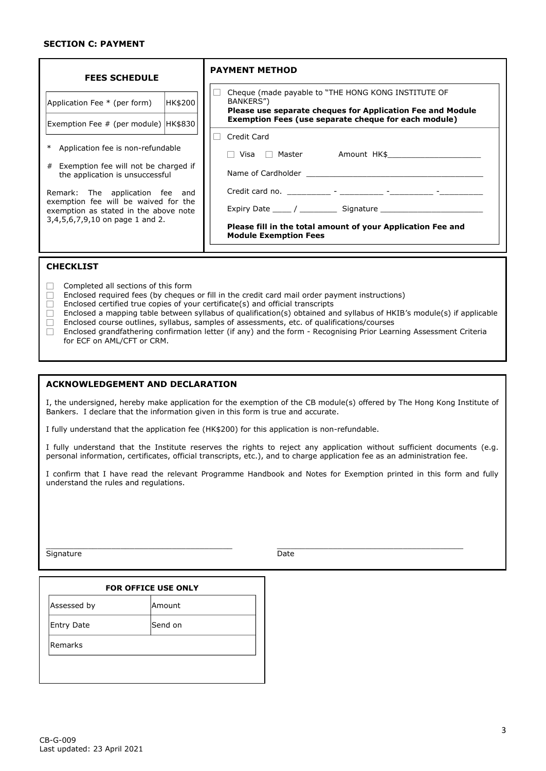#### **SECTION C: PAYMENT**

| <b>FEES SCHEDULE</b>                                                                                                                                                                                                                                                                                              |         | <b>PAYMENT METHOD</b>                                                                                                                                                                         |
|-------------------------------------------------------------------------------------------------------------------------------------------------------------------------------------------------------------------------------------------------------------------------------------------------------------------|---------|-----------------------------------------------------------------------------------------------------------------------------------------------------------------------------------------------|
| Application Fee * (per form)                                                                                                                                                                                                                                                                                      | HK\$200 | Cheque (made payable to "THE HONG KONG INSTITUTE OF<br>BANKERS")<br>Please use separate cheques for Application Fee and Module<br><b>Exemption Fees (use separate cheque for each module)</b> |
| Exemption Fee # (per module)   HK\$830  <br>Application fee is non-refundable<br># Exemption fee will not be charged if<br>the application is unsuccessful<br>Remark: The application fee and<br>exemption fee will be waived for the<br>exemption as stated in the above note<br>3,4,5,6,7,9,10 on page 1 and 2. |         | Credit Card<br>Please fill in the total amount of your Application Fee and<br><b>Module Exemption Fees</b>                                                                                    |
|                                                                                                                                                                                                                                                                                                                   |         |                                                                                                                                                                                               |

#### **CHECKLIST**

- $\Box$  Completed all sections of this form
- $\Box$  Enclosed required fees (by cheques or fill in the credit card mail order payment instructions)
- $\Box$  Enclosed certified true copies of your certificate(s) and official transcripts
- $\Box$  Enclosed a mapping table between syllabus of qualification(s) obtained and syllabus of HKIB's module(s) if applicable  $\Box$  Enclosed course outlines, syllabus, samples of assessments, etc. of qualifications/courses  $\Box$  Enclosed grandfathering confirmation letter (if any) and the form - Recognising Prior Lear
- Enclosed grandfathering confirmation letter (if any) and the form Recognising Prior Learning Assessment Criteria for ECF on AML/CFT or CRM.

#### **ACKNOWLEDGEMENT AND DECLARATION**

I, the undersigned, hereby make application for the exemption of the CB module(s) offered by The Hong Kong Institute of Bankers. I declare that the information given in this form is true and accurate.

I fully understand that the application fee (HK\$200) for this application is non-refundable.

I fully understand that the Institute reserves the rights to reject any application without sufficient documents (e.g. personal information, certificates, official transcripts, etc.), and to charge application fee as an administration fee.

I confirm that I have read the relevant Programme Handbook and Notes for Exemption printed in this form and fully understand the rules and regulations.

\_\_\_\_\_\_\_\_\_\_\_\_\_\_\_\_\_\_\_\_\_\_\_\_\_\_\_\_\_\_\_\_\_\_\_\_\_\_\_\_ \_\_\_\_\_\_\_\_\_\_\_\_\_\_\_\_\_\_\_\_\_\_\_\_\_\_\_\_\_\_\_\_\_\_\_\_\_\_\_\_

Signature Date Date Date

| Amount   |
|----------|
|          |
| lSend on |
|          |
|          |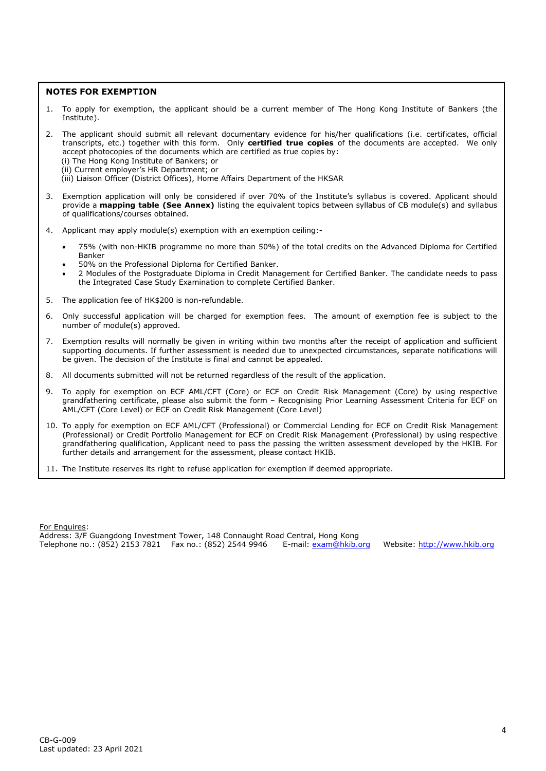## **NOTES FOR EXEMPTION**

- 1. To apply for exemption, the applicant should be a current member of The Hong Kong Institute of Bankers (the Institute).
- 2. The applicant should submit all relevant documentary evidence for his/her qualifications (i.e. certificates, official transcripts, etc.) together with this form. Only **certified true copies** of the documents are accepted. We only accept photocopies of the documents which are certified as true copies by:
	- (i) The Hong Kong Institute of Bankers; or
	- (ii) Current employer's HR Department; or
	- (iii) Liaison Officer (District Offices), Home Affairs Department of the HKSAR
- 3. Exemption application will only be considered if over 70% of the Institute's syllabus is covered. Applicant should provide a **mapping table (See Annex)** listing the equivalent topics between syllabus of CB module(s) and syllabus of qualifications/courses obtained.
- 4. Applicant may apply module(s) exemption with an exemption ceiling:-
	- 75% (with non-HKIB programme no more than 50%) of the total credits on the Advanced Diploma for Certified Banker
	- 50% on the Professional Diploma for Certified Banker.
	- 2 Modules of the Postgraduate Diploma in Credit Management for Certified Banker. The candidate needs to pass the Integrated Case Study Examination to complete Certified Banker.
- 5. The application fee of HK\$200 is non-refundable.
- 6. Only successful application will be charged for exemption fees. The amount of exemption fee is subject to the number of module(s) approved.
- 7. Exemption results will normally be given in writing within two months after the receipt of application and sufficient supporting documents. If further assessment is needed due to unexpected circumstances, separate notifications will be given. The decision of the Institute is final and cannot be appealed.
- 8. All documents submitted will not be returned regardless of the result of the application.
- 9. To apply for exemption on ECF AML/CFT (Core) or ECF on Credit Risk Management (Core) by using respective grandfathering certificate, please also submit the form – Recognising Prior Learning Assessment Criteria for ECF on AML/CFT (Core Level) or ECF on Credit Risk Management (Core Level)
- 10. To apply for exemption on ECF AML/CFT (Professional) or Commercial Lending for ECF on Credit Risk Management (Professional) or Credit Portfolio Management for ECF on Credit Risk Management (Professional) by using respective grandfathering qualification, Applicant need to pass the passing the written assessment developed by the HKIB. For further details and arrangement for the assessment, please contact HKIB.
- 11. The Institute reserves its right to refuse application for exemption if deemed appropriate.

For Enquires: Address: 3/F Guangdong Investment Tower, 148 Connaught Road Central, Hong Kong<br>Telephone no.: (852) 2153 7821 Fax no.: (852) 2544 9946 E-mail: exam@hkib.org Telephone no.: (852) 2153 7821 Fax no.: (852) 2544 9946 E-mail[: exam@hkib.org](mailto:exam@hkib.org) Website: [http://www.hkib.org](http://www.hkib.org/)

4